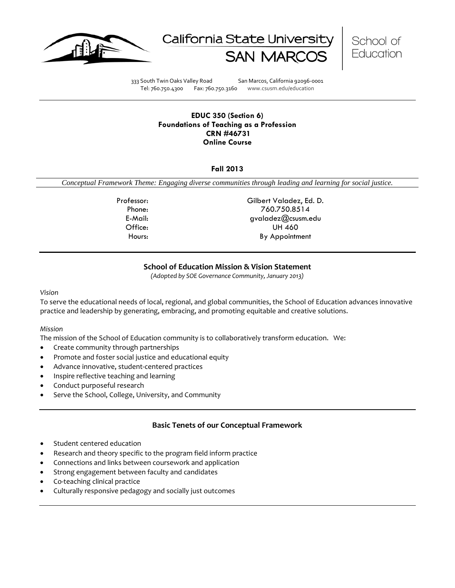





333 South Twin Oaks Valley Road San Marcos, California 92096-0001 Tel: 760.750.4300 Fax: 760.750.3160 www.csusm.edu/education

#### **EDUC 350 (Section 6) Foundations of Teaching as a Profession CRN #46731 Online Course**

## **Fall 2013**

*Conceptual Framework Theme: Engaging diverse communities through leading and learning for social justice.*

Professor: Gilbert Valadez, Ed. D. Phone: 760.750.8514 E-Mail: gvaladez@csusm.edu Office: UH 460 Hours: By Appointment

# **School of Education Mission & Vision Statement**

*(Adopted by SOE Governance Community, January 2013)*

#### *Vision*

To serve the educational needs of local, regional, and global communities, the School of Education advances innovative practice and leadership by generating, embracing, and promoting equitable and creative solutions.

### *Mission*

The mission of the School of Education community is to collaboratively transform education. We:

- Create community through partnerships
- Promote and foster social justice and educational equity
- Advance innovative, student-centered practices
- Inspire reflective teaching and learning
- Conduct purposeful research
- Serve the School, College, University, and Community

## **Basic Tenets of our Conceptual Framework**

- Student centered education
- Research and theory specific to the program field inform practice
- Connections and links between coursework and application
- Strong engagement between faculty and candidates
- Co-teaching clinical practice
- Culturally responsive pedagogy and socially just outcomes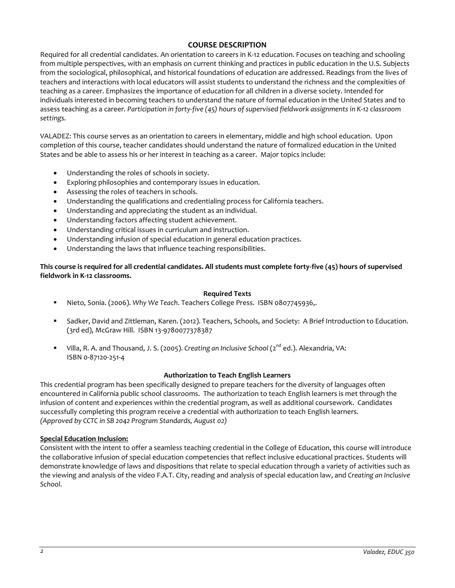## **COURSE DESCRIPTION**

Required for all credential candidates. An orientation to careers in K-12 education. Focuses on teaching and schooling from multiple perspectives, with an emphasis on current thinking and practices in public education in the U.S. Subjects from the sociological, philosophical, and historical foundations of education are addressed. Readings from the lives of teachers and interactions with local educators will assist students to understand the richness and the complexities of teaching as a career. Emphasizes the importance of education for all children in a diverse society. Intended for individuals interested in becoming teachers to understand the nature of formal education in the United States and to assess teaching as a career. *Participation in forty-five (45) hours of supervised fieldwork assignments in K-12 classroom settings.*

VALADEZ: This course serves as an orientation to careers in elementary, middle and high school education. Upon completion of this course, teacher candidates should understand the nature of formalized education in the United States and be able to assess his or her interest in teaching as a career. Major topics include:

- Understanding the roles of schools in society.
- Exploring philosophies and contemporary issues in education.
- Assessing the roles of teachers in schools.
- Understanding the qualifications and credentialing process for California teachers.
- Understanding and appreciating the student as an individual.
- Understanding factors affecting student achievement.
- Understanding critical issues in curriculum and instruction.
- Understanding infusion of special education in general education practices.
- Understanding the laws that influence teaching responsibilities.

**This course is required for all credential candidates. All students must complete forty-five (45) hours of supervised fieldwork in K-12 classrooms.**

## **Required Texts**

- Nieto, Sonia. (2006). *Why We Teach*. Teachers College Press. ISBN 0807745936,.
- Sadker, David and Zittleman, Karen. (2012). Teachers, Schools, and Society: A Brief Introduction to Education. (3rd ed), McGraw Hill. ISBN 13-9780077378387
- Villa, R. A. and Thousand, J. S. (2005). *Creating an Inclusive School* (2<sup>nd</sup> ed.). Alexandria, VA: ISBN 0-87120-251-4

## **Authorization to Teach English Learners**

This credential program has been specifically designed to prepare teachers for the diversity of languages often encountered in California public school classrooms. The authorization to teach English learners is met through the infusion of content and experiences within the credential program, as well as additional coursework. Candidates successfully completing this program receive a credential with authorization to teach English learners. *(Approved by CCTC in SB 2042 Program Standards, August 02)*

## **Special Education Inclusion:**

Consistent with the intent to offer a seamless teaching credential in the College of Education, this course will introduce the collaborative infusion of special education competencies that reflect inclusive educational practices. Students will demonstrate knowledge of laws and dispositions that relate to special education through a variety of activities such as the viewing and analysis of the video F.A.T. City, reading and analysis of special education law, and *Creating an Inclusive School*.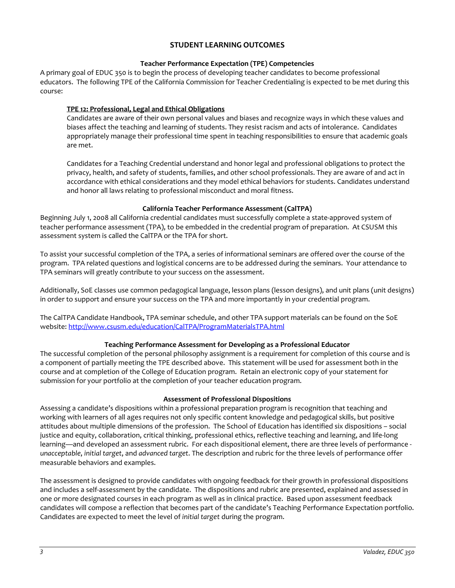## **STUDENT LEARNING OUTCOMES**

## **Teacher Performance Expectation (TPE) Competencies**

A primary goal of EDUC 350 is to begin the process of developing teacher candidates to become professional educators. The following TPE of the California Commission for Teacher Credentialing is expected to be met during this course:

## **TPE 12: Professional, Legal and Ethical Obligations**

Candidates are aware of their own personal values and biases and recognize ways in which these values and biases affect the teaching and learning of students. They resist racism and acts of intolerance. Candidates appropriately manage their professional time spent in teaching responsibilities to ensure that academic goals are met.

Candidates for a Teaching Credential understand and honor legal and professional obligations to protect the privacy, health, and safety of students, families, and other school professionals. They are aware of and act in accordance with ethical considerations and they model ethical behaviors for students. Candidates understand and honor all laws relating to professional misconduct and moral fitness.

## **California Teacher Performance Assessment (CalTPA)**

Beginning July 1, 2008 all California credential candidates must successfully complete a state-approved system of teacher performance assessment (TPA), to be embedded in the credential program of preparation. At CSUSM this assessment system is called the CalTPA or the TPA for short.

To assist your successful completion of the TPA, a series of informational seminars are offered over the course of the program. TPA related questions and logistical concerns are to be addressed during the seminars. Your attendance to TPA seminars will greatly contribute to your success on the assessment.

Additionally, SoE classes use common pedagogical language, lesson plans (lesson designs), and unit plans (unit designs) in order to support and ensure your success on the TPA and more importantly in your credential program.

The CalTPA Candidate Handbook, TPA seminar schedule, and other TPA support materials can be found on the SoE website: <http://www.csusm.edu/education/CalTPA/ProgramMaterialsTPA.html>

## **Teaching Performance Assessment for Developing as a Professional Educator**

The successful completion of the personal philosophy assignment is a requirement for completion of this course and is a component of partially meeting the TPE described above. This statement will be used for assessment both in the course and at completion of the College of Education program. Retain an electronic copy of your statement for submission for your portfolio at the completion of your teacher education program.

### **Assessment of Professional Dispositions**

Assessing a candidate's dispositions within a professional preparation program is recognition that teaching and working with learners of all ages requires not only specific content knowledge and pedagogical skills, but positive attitudes about multiple dimensions of the profession. The School of Education has identified six dispositions – social justice and equity, collaboration, critical thinking, professional ethics, reflective teaching and learning, and life-long learning—and developed an assessment rubric. For each dispositional element, there are three levels of performance *unacceptable*, *initial target*, and *advanced target*. The description and rubric for the three levels of performance offer measurable behaviors and examples.

The assessment is designed to provide candidates with ongoing feedback for their growth in professional dispositions and includes a self-assessment by the candidate. The dispositions and rubric are presented, explained and assessed in one or more designated courses in each program as well as in clinical practice. Based upon assessment feedback candidates will compose a reflection that becomes part of the candidate's Teaching Performance Expectation portfolio. Candidates are expected to meet the level of *initial target* during the program.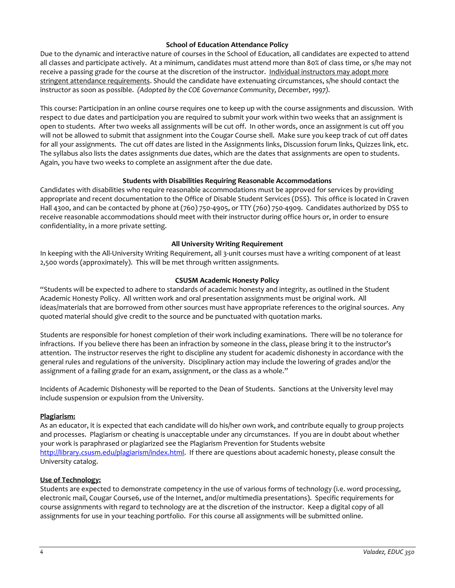## **School of Education Attendance Policy**

Due to the dynamic and interactive nature of courses in the School of Education, all candidates are expected to attend all classes and participate actively. At a minimum, candidates must attend more than 80% of class time, or s/he may not receive a passing grade for the course at the discretion of the instructor. Individual instructors may adopt more stringent attendance requirements. Should the candidate have extenuating circumstances, s/he should contact the instructor as soon as possible. *(Adopted by the COE Governance Community, December, 1997).*

This course: Participation in an online course requires one to keep up with the course assignments and discussion. With respect to due dates and participation you are required to submit your work within two weeks that an assignment is open to students. After two weeks all assignments will be cut off. In other words, once an assignment is cut off you will not be allowed to submit that assignment into the Cougar Course shell. Make sure you keep track of cut off dates for all your assignments. The cut off dates are listed in the Assignments links, Discussion forum links, Quizzes link, etc. The syllabus also lists the dates assignments due dates, which are the dates that assignments are open to students. Again, you have two weeks to complete an assignment after the due date.

## **Students with Disabilities Requiring Reasonable Accommodations**

Candidates with disabilities who require reasonable accommodations must be approved for services by providing appropriate and recent documentation to the Office of Disable Student Services (DSS). This office is located in Craven Hall 4300, and can be contacted by phone at (760) 750-4905, or TTY (760) 750-4909. Candidates authorized by DSS to receive reasonable accommodations should meet with their instructor during office hours or, in order to ensure confidentiality, in a more private setting.

## **All University Writing Requirement**

In keeping with the All-University Writing Requirement, all 3-unit courses must have a writing component of at least 2,500 words (approximately). This will be met through written assignments.

## **CSUSM Academic Honesty Policy**

"Students will be expected to adhere to standards of academic honesty and integrity, as outlined in the Student Academic Honesty Policy. All written work and oral presentation assignments must be original work. All ideas/materials that are borrowed from other sources must have appropriate references to the original sources. Any quoted material should give credit to the source and be punctuated with quotation marks.

Students are responsible for honest completion of their work including examinations. There will be no tolerance for infractions. If you believe there has been an infraction by someone in the class, please bring it to the instructor's attention. The instructor reserves the right to discipline any student for academic dishonesty in accordance with the general rules and regulations of the university. Disciplinary action may include the lowering of grades and/or the assignment of a failing grade for an exam, assignment, or the class as a whole."

Incidents of Academic Dishonesty will be reported to the Dean of Students. Sanctions at the University level may include suspension or expulsion from the University.

### **Plagiarism:**

As an educator, it is expected that each candidate will do his/her own work, and contribute equally to group projects and processes. Plagiarism or cheating is unacceptable under any circumstances. If you are in doubt about whether your work is paraphrased or plagiarized see the Plagiarism Prevention for Students website [http://library.csusm.edu/plagiarism/index.html.](http://library.csusm.edu/plagiarism/index.html) If there are questions about academic honesty, please consult the University catalog.

### **Use of Technology:**

Students are expected to demonstrate competency in the use of various forms of technology (i.e. word processing, electronic mail, Cougar Course6, use of the Internet, and/or multimedia presentations). Specific requirements for course assignments with regard to technology are at the discretion of the instructor. Keep a digital copy of all assignments for use in your teaching portfolio. For this course all assignments will be submitted online.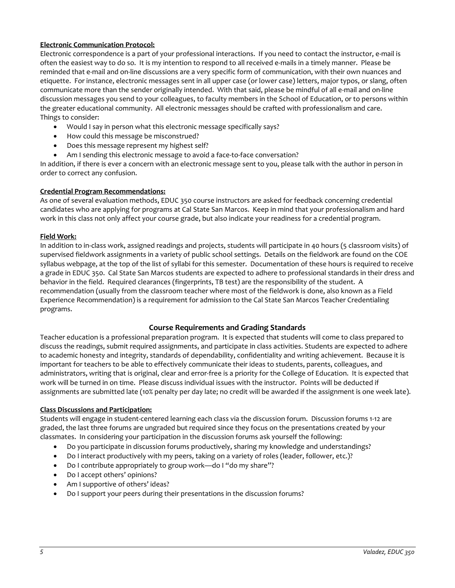## **Electronic Communication Protocol:**

Electronic correspondence is a part of your professional interactions. If you need to contact the instructor, e-mail is often the easiest way to do so. It is my intention to respond to all received e-mails in a timely manner. Please be reminded that e-mail and on-line discussions are a very specific form of communication, with their own nuances and etiquette. For instance, electronic messages sent in all upper case (or lower case) letters, major typos, or slang, often communicate more than the sender originally intended. With that said, please be mindful of all e-mail and on-line discussion messages you send to your colleagues, to faculty members in the School of Education, or to persons within the greater educational community. All electronic messages should be crafted with professionalism and care. Things to consider:

- Would I say in person what this electronic message specifically says?
- How could this message be misconstrued?
- Does this message represent my highest self?
- Am I sending this electronic message to avoid a face-to-face conversation?

In addition, if there is ever a concern with an electronic message sent to you, please talk with the author in person in order to correct any confusion.

## **Credential Program Recommendations:**

As one of several evaluation methods, EDUC 350 course instructors are asked for feedback concerning credential candidates who are applying for programs at Cal State San Marcos. Keep in mind that your professionalism and hard work in this class not only affect your course grade, but also indicate your readiness for a credential program.

## **Field Work:**

In addition to in-class work, assigned readings and projects, students will participate in 40 hours (5 classroom visits) of supervised fieldwork assignments in a variety of public school settings. Details on the fieldwork are found on the COE syllabus webpage, at the top of the list of syllabi for this semester. Documentation of these hours is required to receive a grade in EDUC 350. Cal State San Marcos students are expected to adhere to professional standards in their dress and behavior in the field. Required clearances (fingerprints, TB test) are the responsibility of the student. A recommendation (usually from the classroom teacher where most of the fieldwork is done, also known as a Field Experience Recommendation) is a requirement for admission to the Cal State San Marcos Teacher Credentialing programs.

## **Course Requirements and Grading Standards**

Teacher education is a professional preparation program. It is expected that students will come to class prepared to discuss the readings, submit required assignments, and participate in class activities. Students are expected to adhere to academic honesty and integrity, standards of dependability, confidentiality and writing achievement. Because it is important for teachers to be able to effectively communicate their ideas to students, parents, colleagues, and administrators, writing that is original, clear and error-free is a priority for the College of Education. It is expected that work will be turned in on time. Please discuss individual issues with the instructor. Points will be deducted if assignments are submitted late (10% penalty per day late; no credit will be awarded if the assignment is one week late).

### **Class Discussions and Participation:**

Students will engage in student-centered learning each class via the discussion forum. Discussion forums 1-12 are graded, the last three forums are ungraded but required since they focus on the presentations created by your classmates. In considering your participation in the discussion forums ask yourself the following:

- Do you participate in discussion forums productively, sharing my knowledge and understandings?
- Do I interact productively with my peers, taking on a variety of roles (leader, follower, etc.)?
- Do I contribute appropriately to group work—do I "do my share"?
- Do I accept others' opinions?
- Am I supportive of others' ideas?
- Do I support your peers during their presentations in the discussion forums?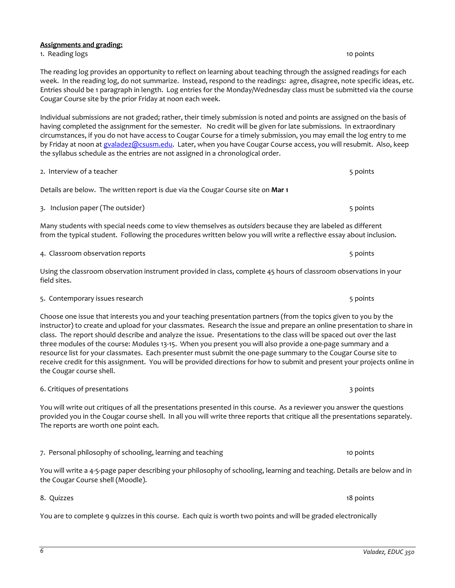# **Assignments and grading:**

1. Reading logs 10 points 10 points 10 points 10 points 10 points 10 points 10 points 10 points 10 points 10 points 10 points 10 points 10 points 10 points 10 points 10 points 10 points 10 points 10 points 10 points 10 poi

The reading log provides an opportunity to reflect on learning about teaching through the assigned readings for each week. In the reading log, do not summarize. Instead, respond to the readings: agree, disagree, note specific ideas, etc. Entries should be 1 paragraph in length. Log entries for the Monday/Wednesday class must be submitted via the course Cougar Course site by the prior Friday at noon each week.

Individual submissions are not graded; rather, their timely submission is noted and points are assigned on the basis of having completed the assignment for the semester. No credit will be given for late submissions. In extraordinary circumstances, if you do not have access to Cougar Course for a timely submission, you may email the log entry to me by Friday at noon a[t gvaladez@csusm.edu.](mailto:gvaladez@csusm.edu) Later, when you have Cougar Course access, you will resubmit. Also, keep the syllabus schedule as the entries are not assigned in a chronological order.

Details are below. The written report is due via the Cougar Course site on **Mar 1**

3. Inclusion paper (The outsider) 6 points and the outsider of the outside of the outside of the outside of the outside of the outside of the outside of the outside of the outside of the outside of the outside of the outsi

2. Interview of a teacher 5 points and the set of the set of the set of the set of the set of the set of the set of the set of the set of the set of the set of the set of the set of the set of the set of the set of the set

Many students with special needs come to view themselves as *outsiders* because they are labeled as different from the typical student. Following the procedures written below you will write a reflective essay about inclusion.

Using the classroom observation instrument provided in class, complete 45 hours of classroom observations in your field sites.

5. Contemporary issues research 5 points of the state of the state of the state of the state of the state of the state of the state of the state of the state of the state of the state of the state of the state of the state

6. Critiques of presentations 3 points 3 points 3 points 3 points 3 points 3 points 3 points 3 points 3 points 3 points 3 points 3 points 3 points 3 points 3 points 3 points 3 points 3 points 3 points 3 points 3 points 3 p

Choose one issue that interests you and your teaching presentation partners (from the topics given to you by the instructor) to create and upload for your classmates. Research the issue and prepare an online presentation to share in class. The report should describe and analyze the issue. Presentations to the class will be spaced out over the last three modules of the course: Modules 13-15. When you present you will also provide a one-page summary and a resource list for your classmates. Each presenter must submit the one-page summary to the Cougar Course site to receive credit for this assignment. You will be provided directions for how to submit and present your projects online in the Cougar course shell.

You will write out critiques of all the presentations presented in this course. As a reviewer you answer the questions provided you in the Cougar course shell. In all you will write three reports that critique all the presentations separately. The reports are worth one point each.

7. Personal philosophy of schooling, learning and teaching 10 points 10 points

You will write a 4-5-page paper describing your philosophy of schooling, learning and teaching. Details are below and in the Cougar Course shell (Moodle).

You are to complete 9 quizzes in this course. Each quiz is worth two points and will be graded electronically

4. Classroom observation reports **5 points** 5 points 5 points 5 points 5 points 5 points 5 points 5 points 5 points

8. Quizzes 18 points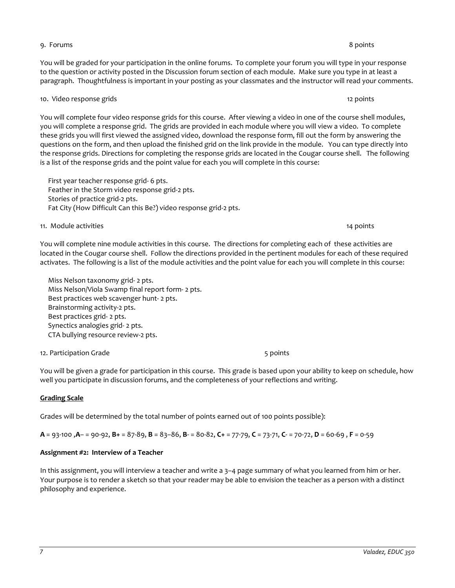#### 9. Forums 8 points

You will be graded for your participation in the online forums. To complete your forum you will type in your response to the question or activity posted in the Discussion forum section of each module. Make sure you type in at least a paragraph. Thoughtfulness is important in your posting as your classmates and the instructor will read your comments.

#### 10. Video response grids 12 points

You will complete four video response grids for this course. After viewing a video in one of the course shell modules, you will complete a response grid. The grids are provided in each module where you will view a video. To complete these grids you will first viewed the assigned video, download the response form, fill out the form by answering the questions on the form, and then upload the finished grid on the link provide in the module. You can type directly into the response grids. Directions for completing the response grids are located in the Cougar course shell. The following is a list of the response grids and the point value for each you will complete in this course:

 First year teacher response grid- 6 pts. Feather in the Storm video response grid-2 pts. Stories of practice grid-2 pts. Fat City (How Difficult Can this Be?) video response grid-2 pts.

#### 11. Module activities 14 points 14 points 14 points 14 points 14 points 14 points 14 points 14 points 14 points

You will complete nine module activities in this course. The directions for completing each of these activities are located in the Cougar course shell. Follow the directions provided in the pertinent modules for each of these required activates. The following is a list of the module activities and the point value for each you will complete in this course:

 Miss Nelson taxonomy grid- 2 pts. Miss Nelson/Viola Swamp final report form- 2 pts. Best practices web scavenger hunt- 2 pts. Brainstorming activity-2 pts. Best practices grid- 2 pts. Synectics analogies grid- 2 pts. CTA bullying resource review-2 pts.

12. Participation Grade 6 points and the set of the set of the set of the set of the set of the set of the set o

You will be given a grade for participation in this course. This grade is based upon your ability to keep on schedule, how well you participate in discussion forums, and the completeness of your reflections and writing.

### **Grading Scale**

Grades will be determined by the total number of points earned out of 100 points possible):

**A** = 93-100 ,**A**– = 90-92, **B+** = 87-89, **B** = 83–86, **B**- = 80-82, **C+** = 77-79, **C** = 73-71, **C**- = 70-72, **D** = 60-69 , **F** = 0-59

### **Assignment #2: Interview of a Teacher**

In this assignment, you will interview a teacher and write a 3–4 page summary of what you learned from him or her. Your purpose is to render a sketch so that your reader may be able to envision the teacher as a person with a distinct philosophy and experience.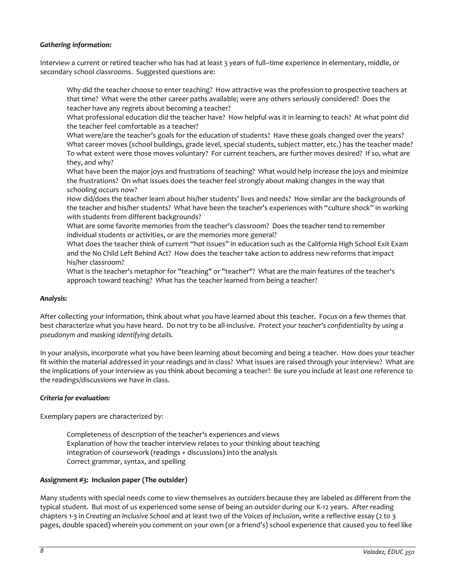## *Gathering information:*

Interview a current or retired teacher who has had at least 3 years of full–time experience in elementary, middle, or secondary school classrooms. Suggested questions are:

Why did the teacher choose to enter teaching? How attractive was the profession to prospective teachers at that time? What were the other career paths available; were any others seriously considered? Does the teacher have any regrets about becoming a teacher?

What professional education did the teacher have? How helpful was it in learning to teach? At what point did the teacher feel comfortable as a teacher?

What were/are the teacher's goals for the education of students? Have these goals changed over the years? What career moves (school buildings, grade level, special students, subject matter, etc.) has the teacher made? To what extent were those moves voluntary? For current teachers, are further moves desired? If so, what are they, and why?

What have been the major joys and frustrations of teaching? What would help increase the joys and minimize the frustrations? On what issues does the teacher feel strongly about making changes in the way that schooling occurs now?

How did/does the teacher learn about his/her students' lives and needs? How similar are the backgrounds of the teacher and his/her students? What have been the teacher's experiences with "culture shock" in working with students from different backgrounds?

What are some favorite memories from the teacher's classroom? Does the teacher tend to remember individual students or activities, or are the memories more general?

What does the teacher think of current "hot issues" in education such as the California High School Exit Exam and the No Child Left Behind Act? How does the teacher take action to address new reforms that impact his/her classroom?

What is the teacher's metaphor for "teaching" or "teacher"? What are the main features of the teacher's approach toward teaching? What has the teacher learned from being a teacher?

### *Analysis:*

After collecting your information, think about what you have learned about this teacher. Focus on a few themes that best characterize what you have heard. Do not try to be all-inclusive. *Protect your teacher's confidentiality by using a pseudonym and masking identifying details.*

In your analysis, incorporate what you have been learning about becoming and being a teacher. How does your teacher fit within the material addressed in your readings and in class? What issues are raised through your interview? What are the implications of your interview as you think about becoming a teacher? Be sure you include at least one reference to the readings/discussions we have in class.

### *Criteria for evaluation:*

Exemplary papers are characterized by:

Completeness of description of the teacher's experiences and views Explanation of how the teacher interview relates to your thinking about teaching Integration of coursework (readings + discussions) into the analysis Correct grammar, syntax, and spelling

### **Assignment #3: Inclusion paper (The outsider)**

Many students with special needs come to view themselves as *outsiders* because they are labeled as different from the typical student. But most of us experienced some sense of being an outsider during our K-12 years. After reading chapters 1-3 in *Creating an Inclusive School* and at least two of the *Voices of Inclusion*, write a reflective essay (2 to 3 pages, double spaced) wherein you comment on your own (or a friend's) school experience that caused you to feel like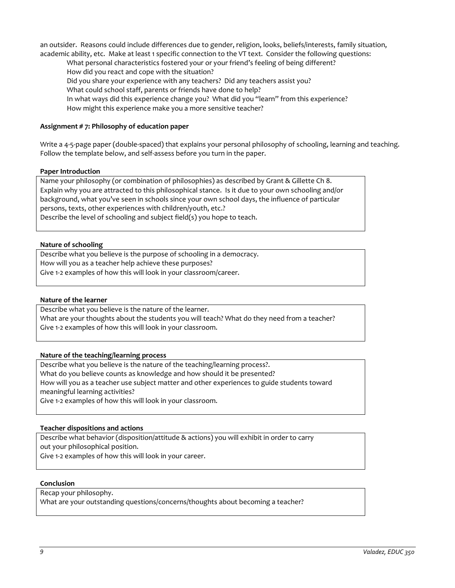an outsider. Reasons could include differences due to gender, religion, looks, beliefs/interests, family situation, academic ability, etc. Make at least 1 specific connection to the VT text. Consider the following questions:

What personal characteristics fostered your or your friend's feeling of being different? How did you react and cope with the situation?

Did you share your experience with any teachers? Did any teachers assist you?

What could school staff, parents or friends have done to help?

In what ways did this experience change you? What did you "learn" from this experience?

How might this experience make you a more sensitive teacher?

## **Assignment # 7: Philosophy of education paper**

Write a 4-5-page paper (double-spaced) that explains your personal philosophy of schooling, learning and teaching. Follow the template below, and self-assess before you turn in the paper.

#### **Paper Introduction**

Name your philosophy (or combination of philosophies) as described by Grant & Gillette Ch 8. Explain why you are attracted to this philosophical stance. Is it due to your own schooling and/or background, what you've seen in schools since your own school days, the influence of particular persons, texts, other experiences with children/youth, etc.?

Describe the level of schooling and subject field(s) you hope to teach.

## **Nature of schooling**

Describe what you believe is the purpose of schooling in a democracy. How will you as a teacher help achieve these purposes? Give 1-2 examples of how this will look in your classroom/career.

### **Nature of the learner**

Describe what you believe is the nature of the learner.

What are your thoughts about the students you will teach? What do they need from a teacher? Give 1-2 examples of how this will look in your classroom.

### **Nature of the teaching/learning process**

Describe what you believe is the nature of the teaching/learning process?. What do you believe counts as knowledge and how should it be presented? How will you as a teacher use subject matter and other experiences to guide students toward meaningful learning activities? Give 1-2 examples of how this will look in your classroom.

### **Teacher dispositions and actions**

Describe what behavior (disposition/attitude & actions) you will exhibit in order to carry out your philosophical position.

Give 1-2 examples of how this will look in your career.

#### **Conclusion**

Recap your philosophy.

What are your outstanding questions/concerns/thoughts about becoming a teacher?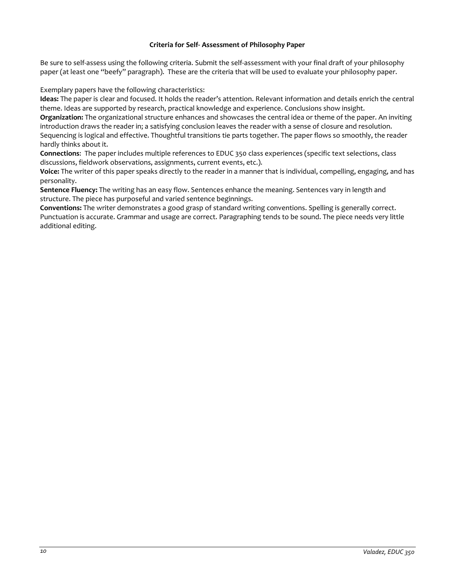### **Criteria for Self- Assessment of Philosophy Paper**

Be sure to self-assess using the following criteria. Submit the self-assessment with your final draft of your philosophy paper (at least one "beefy" paragraph). These are the criteria that will be used to evaluate your philosophy paper.

Exemplary papers have the following characteristics:

**Ideas:** The paper is clear and focused. It holds the reader's attention. Relevant information and details enrich the central theme. Ideas are supported by research, practical knowledge and experience. Conclusions show insight.

**Organization:** The organizational structure enhances and showcases the central idea or theme of the paper. An inviting introduction draws the reader in; a satisfying conclusion leaves the reader with a sense of closure and resolution. Sequencing is logical and effective. Thoughtful transitions tie parts together. The paper flows so smoothly, the reader hardly thinks about it.

**Connections**: The paper includes multiple references to EDUC 350 class experiences (specific text selections, class discussions, fieldwork observations, assignments, current events, etc.).

**Voice:** The writer of this paper speaks directly to the reader in a manner that is individual, compelling, engaging, and has personality.

**Sentence Fluency:** The writing has an easy flow. Sentences enhance the meaning. Sentences vary in length and structure. The piece has purposeful and varied sentence beginnings.

**Conventions:** The writer demonstrates a good grasp of standard writing conventions. Spelling is generally correct. Punctuation is accurate. Grammar and usage are correct. Paragraphing tends to be sound. The piece needs very little additional editing.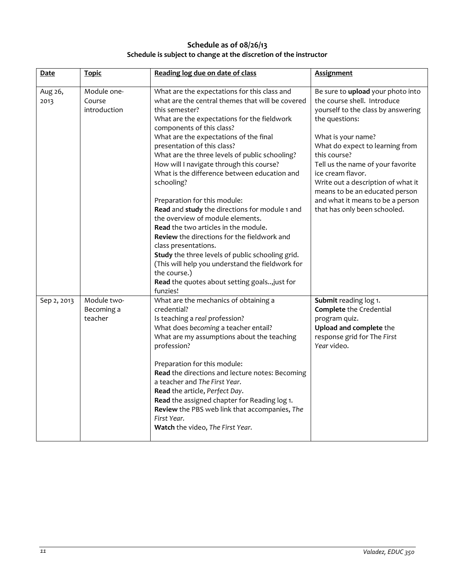# **Schedule as of 08/26/13 Schedule is subject to change at the discretion of the instructor**

| Date            | <b>Topic</b>                          | Reading log due on date of class                                                                                                                                                                                                                                                                                                                                                                                                                                                                                                                                                                                                                                                                                                                                                                                                                             | <b>Assignment</b>                                                                                                                                                                                                                                                                                                                                                                                       |
|-----------------|---------------------------------------|--------------------------------------------------------------------------------------------------------------------------------------------------------------------------------------------------------------------------------------------------------------------------------------------------------------------------------------------------------------------------------------------------------------------------------------------------------------------------------------------------------------------------------------------------------------------------------------------------------------------------------------------------------------------------------------------------------------------------------------------------------------------------------------------------------------------------------------------------------------|---------------------------------------------------------------------------------------------------------------------------------------------------------------------------------------------------------------------------------------------------------------------------------------------------------------------------------------------------------------------------------------------------------|
| Aug 26,<br>2013 | Module one-<br>Course<br>introduction | What are the expectations for this class and<br>what are the central themes that will be covered<br>this semester?<br>What are the expectations for the fieldwork<br>components of this class?<br>What are the expectations of the final<br>presentation of this class?<br>What are the three levels of public schooling?<br>How will I navigate through this course?<br>What is the difference between education and<br>schooling?<br>Preparation for this module:<br>Read and study the directions for module 1 and<br>the overview of module elements.<br>Read the two articles in the module.<br>Review the directions for the fieldwork and<br>class presentations.<br>Study the three levels of public schooling grid.<br>(This will help you understand the fieldwork for<br>the course.)<br>Read the quotes about setting goals just for<br>funzies! | Be sure to upload your photo into<br>the course shell. Introduce<br>yourself to the class by answering<br>the questions:<br>What is your name?<br>What do expect to learning from<br>this course?<br>Tell us the name of your favorite<br>ice cream flavor.<br>Write out a description of what it<br>means to be an educated person<br>and what it means to be a person<br>that has only been schooled. |
| Sep 2, 2013     | Module two-<br>Becoming a<br>teacher  | What are the mechanics of obtaining a<br>credential?<br>Is teaching a real profession?<br>What does becoming a teacher entail?<br>What are my assumptions about the teaching<br>profession?<br>Preparation for this module:<br>Read the directions and lecture notes: Becoming<br>a teacher and The First Year.<br>Read the article, Perfect Day.<br>Read the assigned chapter for Reading log 1.<br>Review the PBS web link that accompanies, The<br>First Year.<br>Watch the video, The First Year.                                                                                                                                                                                                                                                                                                                                                        | Submit reading log 1.<br><b>Complete</b> the Credential<br>program quiz.<br>Upload and complete the<br>response grid for The First<br>Year video.                                                                                                                                                                                                                                                       |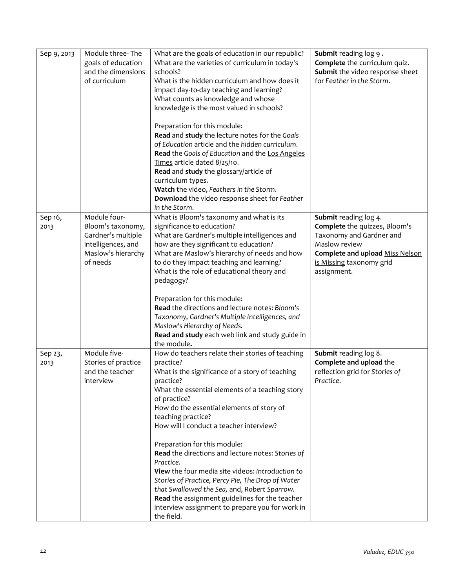| Sep 9, 2013 | Module three-The    | What are the goals of education in our republic?               | Submit reading log 9.           |
|-------------|---------------------|----------------------------------------------------------------|---------------------------------|
|             | goals of education  | What are the varieties of curriculum in today's                | Complete the curriculum quiz.   |
|             | and the dimensions  | schools?                                                       | Submit the video response sheet |
|             |                     |                                                                |                                 |
|             | of curriculum       | What is the hidden curriculum and how does it                  | for Feather in the Storm.       |
|             |                     | impact day-to-day teaching and learning?                       |                                 |
|             |                     | What counts as knowledge and whose                             |                                 |
|             |                     | knowledge is the most valued in schools?                       |                                 |
|             |                     |                                                                |                                 |
|             |                     | Preparation for this module:                                   |                                 |
|             |                     | Read and study the lecture notes for the Goals                 |                                 |
|             |                     | of Education article and the hidden curriculum.                |                                 |
|             |                     | Read the Goals of Education and the Los Angeles                |                                 |
|             |                     | Times article dated 8/25/10.                                   |                                 |
|             |                     | Read and study the glossary/article of                         |                                 |
|             |                     | curriculum types.                                              |                                 |
|             |                     |                                                                |                                 |
|             |                     | Watch the video, Feathers in the Storm.                        |                                 |
|             |                     | Download the video response sheet for Feather<br>in the Storm. |                                 |
| Sep 16,     | Module four-        | What is Bloom's taxonomy and what is its                       | Submit reading log 4.           |
| 2013        | Bloom's taxonomy,   | significance to education?                                     | Complete the quizzes, Bloom's   |
|             |                     |                                                                |                                 |
|             | Gardner's multiple  | What are Gardner's multiple intelligences and                  | Taxonomy and Gardner and        |
|             | intelligences, and  | how are they significant to education?                         | Maslow review                   |
|             | Maslow's hierarchy  | What are Maslow's hierarchy of needs and how                   | Complete and upload Miss Nelson |
|             | of needs            | to do they impact teaching and learning?                       | is Missing taxonomy grid        |
|             |                     | What is the role of educational theory and                     | assignment.                     |
|             |                     | pedagogy?                                                      |                                 |
|             |                     | Preparation for this module:                                   |                                 |
|             |                     | Read the directions and lecture notes: Bloom's                 |                                 |
|             |                     | Taxonomy, Gardner's Multiple Intelligences, and                |                                 |
|             |                     | Maslow's Hierarchy of Needs.                                   |                                 |
|             |                     | Read and study each web link and study guide in                |                                 |
|             |                     | the module.                                                    |                                 |
| Sep 23,     | Module five-        | How do teachers relate their stories of teaching               | Submit reading log 8.           |
|             |                     |                                                                |                                 |
| 2013        | Stories of practice | practice?                                                      | Complete and upload the         |
|             | and the teacher     | What is the significance of a story of teaching                | reflection grid for Stories of  |
|             | interview           | practice?                                                      | Practice.                       |
|             |                     | What the essential elements of a teaching story                |                                 |
|             |                     | of practice?                                                   |                                 |
|             |                     | How do the essential elements of story of                      |                                 |
|             |                     | teaching practice?                                             |                                 |
|             |                     | How will I conduct a teacher interview?                        |                                 |
|             |                     |                                                                |                                 |
|             |                     | Preparation for this module:                                   |                                 |
|             |                     | Read the directions and lecture notes: Stories of              |                                 |
|             |                     | Practice.                                                      |                                 |
|             |                     | View the four media site videos: Introduction to               |                                 |
|             |                     | Stories of Practice, Percy Pie, The Drop of Water              |                                 |
|             |                     | that Swallowed the Sea, and, Robert Sparrow.                   |                                 |
|             |                     | Read the assignment guidelines for the teacher                 |                                 |
|             |                     | interview assignment to prepare you for work in                |                                 |
|             |                     | the field.                                                     |                                 |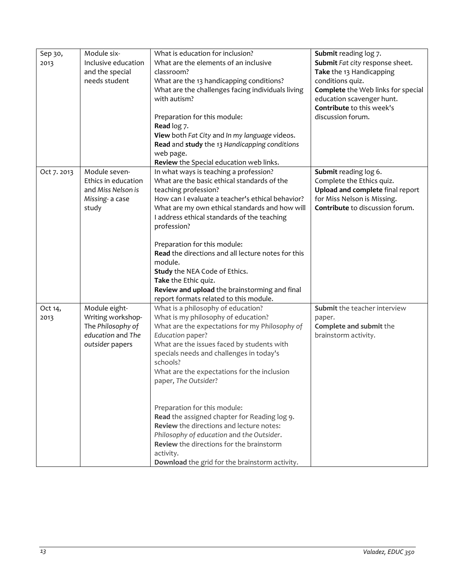| What is education for inclusion?<br>Module six-<br>Submit reading log 7.<br>Sep 30,<br>What are the elements of an inclusive<br>Submit Fat city response sheet.<br>Inclusive education<br>2013<br>and the special<br>classroom?<br>Take the 13 Handicapping<br>needs student<br>conditions quiz.<br>What are the 13 handicapping conditions?<br>What are the challenges facing individuals living<br>Complete the Web links for special<br>education scavenger hunt.<br>with autism?<br>Contribute to this week's<br>discussion forum.<br>Preparation for this module:<br>Read log 7.<br>View both Fat City and In my language videos.<br>Read and study the 13 Handicapping conditions<br>web page.<br>Review the Special education web links.<br>Module seven-<br>In what ways is teaching a profession?<br>Submit reading log 6.<br>Oct 7.2013<br>Ethics in education<br>What are the basic ethical standards of the<br>Complete the Ethics quiz.<br>Upload and complete final report<br>and Miss Nelson is<br>teaching profession?<br>How can I evaluate a teacher's ethical behavior?<br>for Miss Nelson is Missing.<br>Missing- a case<br>Contribute to discussion forum.<br>What are my own ethical standards and how will<br>study<br>I address ethical standards of the teaching<br>profession?<br>Preparation for this module:<br>Read the directions and all lecture notes for this<br>module.<br>Study the NEA Code of Ethics.<br>Take the Ethic quiz.<br>Review and upload the brainstorming and final<br>report formats related to this module.<br>What is a philosophy of education?<br>Submit the teacher interview<br>Oct 14,<br>Module eight-<br>Writing workshop-<br>What is my philosophy of education?<br>2013<br>paper.<br>The Philosophy of<br>What are the expectations for my Philosophy of<br>Complete and submit the<br>education and The<br>Education paper?<br>brainstorm activity.<br>What are the issues faced by students with<br>outsider papers<br>specials needs and challenges in today's<br>schools?<br>What are the expectations for the inclusion<br>paper, The Outsider?<br>Preparation for this module:<br>Read the assigned chapter for Reading log 9.<br><b>Review</b> the directions and lecture notes:<br>Philosophy of education and the Outsider.<br><b>Review</b> the directions for the brainstorm<br>activity.<br>Download the grid for the brainstorm activity. |  |  |
|--------------------------------------------------------------------------------------------------------------------------------------------------------------------------------------------------------------------------------------------------------------------------------------------------------------------------------------------------------------------------------------------------------------------------------------------------------------------------------------------------------------------------------------------------------------------------------------------------------------------------------------------------------------------------------------------------------------------------------------------------------------------------------------------------------------------------------------------------------------------------------------------------------------------------------------------------------------------------------------------------------------------------------------------------------------------------------------------------------------------------------------------------------------------------------------------------------------------------------------------------------------------------------------------------------------------------------------------------------------------------------------------------------------------------------------------------------------------------------------------------------------------------------------------------------------------------------------------------------------------------------------------------------------------------------------------------------------------------------------------------------------------------------------------------------------------------------------------------------------------------------------------------------------------------------------------------------------------------------------------------------------------------------------------------------------------------------------------------------------------------------------------------------------------------------------------------------------------------------------------------------------------------------------------------------------------------------------------------------------------------------------------------------------------|--|--|
|                                                                                                                                                                                                                                                                                                                                                                                                                                                                                                                                                                                                                                                                                                                                                                                                                                                                                                                                                                                                                                                                                                                                                                                                                                                                                                                                                                                                                                                                                                                                                                                                                                                                                                                                                                                                                                                                                                                                                                                                                                                                                                                                                                                                                                                                                                                                                                                                                    |  |  |
|                                                                                                                                                                                                                                                                                                                                                                                                                                                                                                                                                                                                                                                                                                                                                                                                                                                                                                                                                                                                                                                                                                                                                                                                                                                                                                                                                                                                                                                                                                                                                                                                                                                                                                                                                                                                                                                                                                                                                                                                                                                                                                                                                                                                                                                                                                                                                                                                                    |  |  |
|                                                                                                                                                                                                                                                                                                                                                                                                                                                                                                                                                                                                                                                                                                                                                                                                                                                                                                                                                                                                                                                                                                                                                                                                                                                                                                                                                                                                                                                                                                                                                                                                                                                                                                                                                                                                                                                                                                                                                                                                                                                                                                                                                                                                                                                                                                                                                                                                                    |  |  |
|                                                                                                                                                                                                                                                                                                                                                                                                                                                                                                                                                                                                                                                                                                                                                                                                                                                                                                                                                                                                                                                                                                                                                                                                                                                                                                                                                                                                                                                                                                                                                                                                                                                                                                                                                                                                                                                                                                                                                                                                                                                                                                                                                                                                                                                                                                                                                                                                                    |  |  |
|                                                                                                                                                                                                                                                                                                                                                                                                                                                                                                                                                                                                                                                                                                                                                                                                                                                                                                                                                                                                                                                                                                                                                                                                                                                                                                                                                                                                                                                                                                                                                                                                                                                                                                                                                                                                                                                                                                                                                                                                                                                                                                                                                                                                                                                                                                                                                                                                                    |  |  |
|                                                                                                                                                                                                                                                                                                                                                                                                                                                                                                                                                                                                                                                                                                                                                                                                                                                                                                                                                                                                                                                                                                                                                                                                                                                                                                                                                                                                                                                                                                                                                                                                                                                                                                                                                                                                                                                                                                                                                                                                                                                                                                                                                                                                                                                                                                                                                                                                                    |  |  |
|                                                                                                                                                                                                                                                                                                                                                                                                                                                                                                                                                                                                                                                                                                                                                                                                                                                                                                                                                                                                                                                                                                                                                                                                                                                                                                                                                                                                                                                                                                                                                                                                                                                                                                                                                                                                                                                                                                                                                                                                                                                                                                                                                                                                                                                                                                                                                                                                                    |  |  |
|                                                                                                                                                                                                                                                                                                                                                                                                                                                                                                                                                                                                                                                                                                                                                                                                                                                                                                                                                                                                                                                                                                                                                                                                                                                                                                                                                                                                                                                                                                                                                                                                                                                                                                                                                                                                                                                                                                                                                                                                                                                                                                                                                                                                                                                                                                                                                                                                                    |  |  |
|                                                                                                                                                                                                                                                                                                                                                                                                                                                                                                                                                                                                                                                                                                                                                                                                                                                                                                                                                                                                                                                                                                                                                                                                                                                                                                                                                                                                                                                                                                                                                                                                                                                                                                                                                                                                                                                                                                                                                                                                                                                                                                                                                                                                                                                                                                                                                                                                                    |  |  |
|                                                                                                                                                                                                                                                                                                                                                                                                                                                                                                                                                                                                                                                                                                                                                                                                                                                                                                                                                                                                                                                                                                                                                                                                                                                                                                                                                                                                                                                                                                                                                                                                                                                                                                                                                                                                                                                                                                                                                                                                                                                                                                                                                                                                                                                                                                                                                                                                                    |  |  |
|                                                                                                                                                                                                                                                                                                                                                                                                                                                                                                                                                                                                                                                                                                                                                                                                                                                                                                                                                                                                                                                                                                                                                                                                                                                                                                                                                                                                                                                                                                                                                                                                                                                                                                                                                                                                                                                                                                                                                                                                                                                                                                                                                                                                                                                                                                                                                                                                                    |  |  |
|                                                                                                                                                                                                                                                                                                                                                                                                                                                                                                                                                                                                                                                                                                                                                                                                                                                                                                                                                                                                                                                                                                                                                                                                                                                                                                                                                                                                                                                                                                                                                                                                                                                                                                                                                                                                                                                                                                                                                                                                                                                                                                                                                                                                                                                                                                                                                                                                                    |  |  |
|                                                                                                                                                                                                                                                                                                                                                                                                                                                                                                                                                                                                                                                                                                                                                                                                                                                                                                                                                                                                                                                                                                                                                                                                                                                                                                                                                                                                                                                                                                                                                                                                                                                                                                                                                                                                                                                                                                                                                                                                                                                                                                                                                                                                                                                                                                                                                                                                                    |  |  |
|                                                                                                                                                                                                                                                                                                                                                                                                                                                                                                                                                                                                                                                                                                                                                                                                                                                                                                                                                                                                                                                                                                                                                                                                                                                                                                                                                                                                                                                                                                                                                                                                                                                                                                                                                                                                                                                                                                                                                                                                                                                                                                                                                                                                                                                                                                                                                                                                                    |  |  |
|                                                                                                                                                                                                                                                                                                                                                                                                                                                                                                                                                                                                                                                                                                                                                                                                                                                                                                                                                                                                                                                                                                                                                                                                                                                                                                                                                                                                                                                                                                                                                                                                                                                                                                                                                                                                                                                                                                                                                                                                                                                                                                                                                                                                                                                                                                                                                                                                                    |  |  |
|                                                                                                                                                                                                                                                                                                                                                                                                                                                                                                                                                                                                                                                                                                                                                                                                                                                                                                                                                                                                                                                                                                                                                                                                                                                                                                                                                                                                                                                                                                                                                                                                                                                                                                                                                                                                                                                                                                                                                                                                                                                                                                                                                                                                                                                                                                                                                                                                                    |  |  |
|                                                                                                                                                                                                                                                                                                                                                                                                                                                                                                                                                                                                                                                                                                                                                                                                                                                                                                                                                                                                                                                                                                                                                                                                                                                                                                                                                                                                                                                                                                                                                                                                                                                                                                                                                                                                                                                                                                                                                                                                                                                                                                                                                                                                                                                                                                                                                                                                                    |  |  |
|                                                                                                                                                                                                                                                                                                                                                                                                                                                                                                                                                                                                                                                                                                                                                                                                                                                                                                                                                                                                                                                                                                                                                                                                                                                                                                                                                                                                                                                                                                                                                                                                                                                                                                                                                                                                                                                                                                                                                                                                                                                                                                                                                                                                                                                                                                                                                                                                                    |  |  |
|                                                                                                                                                                                                                                                                                                                                                                                                                                                                                                                                                                                                                                                                                                                                                                                                                                                                                                                                                                                                                                                                                                                                                                                                                                                                                                                                                                                                                                                                                                                                                                                                                                                                                                                                                                                                                                                                                                                                                                                                                                                                                                                                                                                                                                                                                                                                                                                                                    |  |  |
|                                                                                                                                                                                                                                                                                                                                                                                                                                                                                                                                                                                                                                                                                                                                                                                                                                                                                                                                                                                                                                                                                                                                                                                                                                                                                                                                                                                                                                                                                                                                                                                                                                                                                                                                                                                                                                                                                                                                                                                                                                                                                                                                                                                                                                                                                                                                                                                                                    |  |  |
|                                                                                                                                                                                                                                                                                                                                                                                                                                                                                                                                                                                                                                                                                                                                                                                                                                                                                                                                                                                                                                                                                                                                                                                                                                                                                                                                                                                                                                                                                                                                                                                                                                                                                                                                                                                                                                                                                                                                                                                                                                                                                                                                                                                                                                                                                                                                                                                                                    |  |  |
|                                                                                                                                                                                                                                                                                                                                                                                                                                                                                                                                                                                                                                                                                                                                                                                                                                                                                                                                                                                                                                                                                                                                                                                                                                                                                                                                                                                                                                                                                                                                                                                                                                                                                                                                                                                                                                                                                                                                                                                                                                                                                                                                                                                                                                                                                                                                                                                                                    |  |  |
|                                                                                                                                                                                                                                                                                                                                                                                                                                                                                                                                                                                                                                                                                                                                                                                                                                                                                                                                                                                                                                                                                                                                                                                                                                                                                                                                                                                                                                                                                                                                                                                                                                                                                                                                                                                                                                                                                                                                                                                                                                                                                                                                                                                                                                                                                                                                                                                                                    |  |  |
|                                                                                                                                                                                                                                                                                                                                                                                                                                                                                                                                                                                                                                                                                                                                                                                                                                                                                                                                                                                                                                                                                                                                                                                                                                                                                                                                                                                                                                                                                                                                                                                                                                                                                                                                                                                                                                                                                                                                                                                                                                                                                                                                                                                                                                                                                                                                                                                                                    |  |  |
|                                                                                                                                                                                                                                                                                                                                                                                                                                                                                                                                                                                                                                                                                                                                                                                                                                                                                                                                                                                                                                                                                                                                                                                                                                                                                                                                                                                                                                                                                                                                                                                                                                                                                                                                                                                                                                                                                                                                                                                                                                                                                                                                                                                                                                                                                                                                                                                                                    |  |  |
|                                                                                                                                                                                                                                                                                                                                                                                                                                                                                                                                                                                                                                                                                                                                                                                                                                                                                                                                                                                                                                                                                                                                                                                                                                                                                                                                                                                                                                                                                                                                                                                                                                                                                                                                                                                                                                                                                                                                                                                                                                                                                                                                                                                                                                                                                                                                                                                                                    |  |  |
|                                                                                                                                                                                                                                                                                                                                                                                                                                                                                                                                                                                                                                                                                                                                                                                                                                                                                                                                                                                                                                                                                                                                                                                                                                                                                                                                                                                                                                                                                                                                                                                                                                                                                                                                                                                                                                                                                                                                                                                                                                                                                                                                                                                                                                                                                                                                                                                                                    |  |  |
|                                                                                                                                                                                                                                                                                                                                                                                                                                                                                                                                                                                                                                                                                                                                                                                                                                                                                                                                                                                                                                                                                                                                                                                                                                                                                                                                                                                                                                                                                                                                                                                                                                                                                                                                                                                                                                                                                                                                                                                                                                                                                                                                                                                                                                                                                                                                                                                                                    |  |  |
|                                                                                                                                                                                                                                                                                                                                                                                                                                                                                                                                                                                                                                                                                                                                                                                                                                                                                                                                                                                                                                                                                                                                                                                                                                                                                                                                                                                                                                                                                                                                                                                                                                                                                                                                                                                                                                                                                                                                                                                                                                                                                                                                                                                                                                                                                                                                                                                                                    |  |  |
|                                                                                                                                                                                                                                                                                                                                                                                                                                                                                                                                                                                                                                                                                                                                                                                                                                                                                                                                                                                                                                                                                                                                                                                                                                                                                                                                                                                                                                                                                                                                                                                                                                                                                                                                                                                                                                                                                                                                                                                                                                                                                                                                                                                                                                                                                                                                                                                                                    |  |  |
|                                                                                                                                                                                                                                                                                                                                                                                                                                                                                                                                                                                                                                                                                                                                                                                                                                                                                                                                                                                                                                                                                                                                                                                                                                                                                                                                                                                                                                                                                                                                                                                                                                                                                                                                                                                                                                                                                                                                                                                                                                                                                                                                                                                                                                                                                                                                                                                                                    |  |  |
|                                                                                                                                                                                                                                                                                                                                                                                                                                                                                                                                                                                                                                                                                                                                                                                                                                                                                                                                                                                                                                                                                                                                                                                                                                                                                                                                                                                                                                                                                                                                                                                                                                                                                                                                                                                                                                                                                                                                                                                                                                                                                                                                                                                                                                                                                                                                                                                                                    |  |  |
|                                                                                                                                                                                                                                                                                                                                                                                                                                                                                                                                                                                                                                                                                                                                                                                                                                                                                                                                                                                                                                                                                                                                                                                                                                                                                                                                                                                                                                                                                                                                                                                                                                                                                                                                                                                                                                                                                                                                                                                                                                                                                                                                                                                                                                                                                                                                                                                                                    |  |  |
|                                                                                                                                                                                                                                                                                                                                                                                                                                                                                                                                                                                                                                                                                                                                                                                                                                                                                                                                                                                                                                                                                                                                                                                                                                                                                                                                                                                                                                                                                                                                                                                                                                                                                                                                                                                                                                                                                                                                                                                                                                                                                                                                                                                                                                                                                                                                                                                                                    |  |  |
|                                                                                                                                                                                                                                                                                                                                                                                                                                                                                                                                                                                                                                                                                                                                                                                                                                                                                                                                                                                                                                                                                                                                                                                                                                                                                                                                                                                                                                                                                                                                                                                                                                                                                                                                                                                                                                                                                                                                                                                                                                                                                                                                                                                                                                                                                                                                                                                                                    |  |  |
|                                                                                                                                                                                                                                                                                                                                                                                                                                                                                                                                                                                                                                                                                                                                                                                                                                                                                                                                                                                                                                                                                                                                                                                                                                                                                                                                                                                                                                                                                                                                                                                                                                                                                                                                                                                                                                                                                                                                                                                                                                                                                                                                                                                                                                                                                                                                                                                                                    |  |  |
|                                                                                                                                                                                                                                                                                                                                                                                                                                                                                                                                                                                                                                                                                                                                                                                                                                                                                                                                                                                                                                                                                                                                                                                                                                                                                                                                                                                                                                                                                                                                                                                                                                                                                                                                                                                                                                                                                                                                                                                                                                                                                                                                                                                                                                                                                                                                                                                                                    |  |  |
|                                                                                                                                                                                                                                                                                                                                                                                                                                                                                                                                                                                                                                                                                                                                                                                                                                                                                                                                                                                                                                                                                                                                                                                                                                                                                                                                                                                                                                                                                                                                                                                                                                                                                                                                                                                                                                                                                                                                                                                                                                                                                                                                                                                                                                                                                                                                                                                                                    |  |  |
|                                                                                                                                                                                                                                                                                                                                                                                                                                                                                                                                                                                                                                                                                                                                                                                                                                                                                                                                                                                                                                                                                                                                                                                                                                                                                                                                                                                                                                                                                                                                                                                                                                                                                                                                                                                                                                                                                                                                                                                                                                                                                                                                                                                                                                                                                                                                                                                                                    |  |  |
|                                                                                                                                                                                                                                                                                                                                                                                                                                                                                                                                                                                                                                                                                                                                                                                                                                                                                                                                                                                                                                                                                                                                                                                                                                                                                                                                                                                                                                                                                                                                                                                                                                                                                                                                                                                                                                                                                                                                                                                                                                                                                                                                                                                                                                                                                                                                                                                                                    |  |  |
|                                                                                                                                                                                                                                                                                                                                                                                                                                                                                                                                                                                                                                                                                                                                                                                                                                                                                                                                                                                                                                                                                                                                                                                                                                                                                                                                                                                                                                                                                                                                                                                                                                                                                                                                                                                                                                                                                                                                                                                                                                                                                                                                                                                                                                                                                                                                                                                                                    |  |  |
|                                                                                                                                                                                                                                                                                                                                                                                                                                                                                                                                                                                                                                                                                                                                                                                                                                                                                                                                                                                                                                                                                                                                                                                                                                                                                                                                                                                                                                                                                                                                                                                                                                                                                                                                                                                                                                                                                                                                                                                                                                                                                                                                                                                                                                                                                                                                                                                                                    |  |  |
|                                                                                                                                                                                                                                                                                                                                                                                                                                                                                                                                                                                                                                                                                                                                                                                                                                                                                                                                                                                                                                                                                                                                                                                                                                                                                                                                                                                                                                                                                                                                                                                                                                                                                                                                                                                                                                                                                                                                                                                                                                                                                                                                                                                                                                                                                                                                                                                                                    |  |  |
|                                                                                                                                                                                                                                                                                                                                                                                                                                                                                                                                                                                                                                                                                                                                                                                                                                                                                                                                                                                                                                                                                                                                                                                                                                                                                                                                                                                                                                                                                                                                                                                                                                                                                                                                                                                                                                                                                                                                                                                                                                                                                                                                                                                                                                                                                                                                                                                                                    |  |  |
|                                                                                                                                                                                                                                                                                                                                                                                                                                                                                                                                                                                                                                                                                                                                                                                                                                                                                                                                                                                                                                                                                                                                                                                                                                                                                                                                                                                                                                                                                                                                                                                                                                                                                                                                                                                                                                                                                                                                                                                                                                                                                                                                                                                                                                                                                                                                                                                                                    |  |  |
|                                                                                                                                                                                                                                                                                                                                                                                                                                                                                                                                                                                                                                                                                                                                                                                                                                                                                                                                                                                                                                                                                                                                                                                                                                                                                                                                                                                                                                                                                                                                                                                                                                                                                                                                                                                                                                                                                                                                                                                                                                                                                                                                                                                                                                                                                                                                                                                                                    |  |  |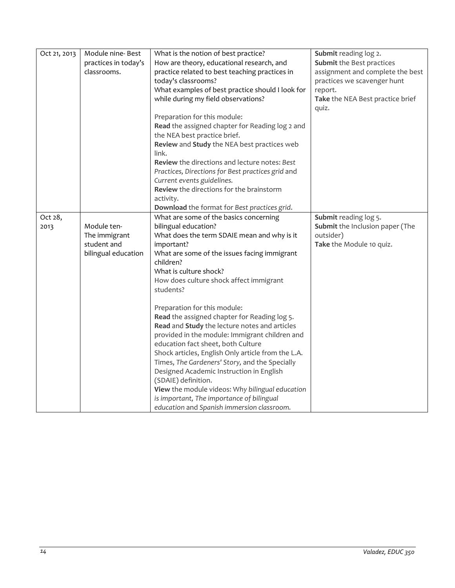| Oct 21, 2013 | Module nine-Best     | What is the notion of best practice?               | Submit reading log 2.            |
|--------------|----------------------|----------------------------------------------------|----------------------------------|
|              | practices in today's | How are theory, educational research, and          | Submit the Best practices        |
|              | classrooms.          | practice related to best teaching practices in     | assignment and complete the best |
|              |                      | today's classrooms?                                | practices we scavenger hunt      |
|              |                      | What examples of best practice should I look for   | report.                          |
|              |                      | while during my field observations?                | Take the NEA Best practice brief |
|              |                      |                                                    | quiz.                            |
|              |                      | Preparation for this module:                       |                                  |
|              |                      | Read the assigned chapter for Reading log 2 and    |                                  |
|              |                      | the NEA best practice brief.                       |                                  |
|              |                      | Review and Study the NEA best practices web        |                                  |
|              |                      | link.                                              |                                  |
|              |                      | Review the directions and lecture notes: Best      |                                  |
|              |                      | Practices, Directions for Best practices grid and  |                                  |
|              |                      | Current events guidelines.                         |                                  |
|              |                      | Review the directions for the brainstorm           |                                  |
|              |                      | activity.                                          |                                  |
|              |                      | Download the format for Best practices grid.       |                                  |
| Oct 28,      |                      | What are some of the basics concerning             | Submit reading log 5.            |
| 2013         | Module ten-          | bilingual education?                               | Submit the Inclusion paper (The  |
|              | The immigrant        | What does the term SDAIE mean and why is it        | outsider)                        |
|              | student and          | important?                                         | Take the Module 10 quiz.         |
|              | bilingual education  | What are some of the issues facing immigrant       |                                  |
|              |                      | children?                                          |                                  |
|              |                      | What is culture shock?                             |                                  |
|              |                      | How does culture shock affect immigrant            |                                  |
|              |                      | students?                                          |                                  |
|              |                      |                                                    |                                  |
|              |                      | Preparation for this module:                       |                                  |
|              |                      | Read the assigned chapter for Reading log 5.       |                                  |
|              |                      | Read and Study the lecture notes and articles      |                                  |
|              |                      | provided in the module: Immigrant children and     |                                  |
|              |                      | education fact sheet, both Culture                 |                                  |
|              |                      | Shock articles, English Only article from the L.A. |                                  |
|              |                      | Times, The Gardeners' Story, and the Specially     |                                  |
|              |                      | Designed Academic Instruction in English           |                                  |
|              |                      | (SDAIE) definition.                                |                                  |
|              |                      | View the module videos: Why bilingual education    |                                  |
|              |                      | is important, The importance of bilingual          |                                  |
|              |                      | education and Spanish immersion classroom.         |                                  |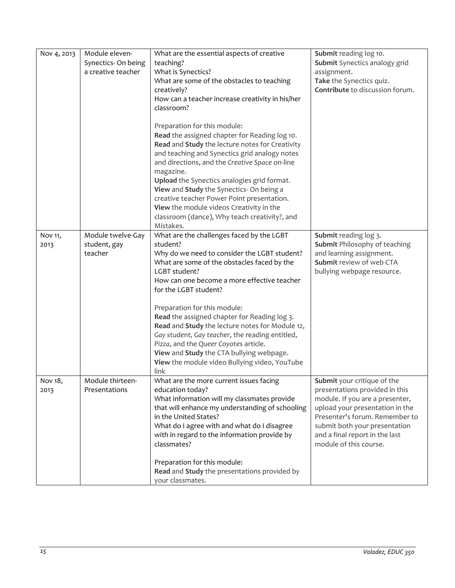| Nov 4, 2013     | Module eleven-<br>Synectics-On being<br>a creative teacher | What are the essential aspects of creative<br>teaching?<br>What is Synectics?<br>What are some of the obstacles to teaching<br>creatively?<br>How can a teacher increase creativity in his/her<br>classroom?                                                                                                                                                                                                                                                                                                                                                                      | Submit reading log 10.<br>Submit Synectics analogy grid<br>assignment.<br>Take the Synectics quiz.<br>Contribute to discussion forum.                                                                                                                              |
|-----------------|------------------------------------------------------------|-----------------------------------------------------------------------------------------------------------------------------------------------------------------------------------------------------------------------------------------------------------------------------------------------------------------------------------------------------------------------------------------------------------------------------------------------------------------------------------------------------------------------------------------------------------------------------------|--------------------------------------------------------------------------------------------------------------------------------------------------------------------------------------------------------------------------------------------------------------------|
|                 |                                                            | Preparation for this module:<br>Read the assigned chapter for Reading log 10.<br>Read and Study the lecture notes for Creativity<br>and teaching and Synectics grid analogy notes<br>and directions, and the Creative Space on-line<br>magazine.<br>Upload the Synectics analogies grid format.<br>View and Study the Synectics- On being a<br>creative teacher Power Point presentation.<br>View the module videos Creativity in the<br>classroom (dance), Why teach creativity?, and<br>Mistakes.                                                                               |                                                                                                                                                                                                                                                                    |
| Nov 11,<br>2013 | Module twelve-Gay<br>student, gay<br>teacher               | What are the challenges faced by the LGBT<br>student?<br>Why do we need to consider the LGBT student?<br>What are some of the obstacles faced by the<br>LGBT student?<br>How can one become a more effective teacher<br>for the LGBT student?<br>Preparation for this module:<br>Read the assigned chapter for Reading log 3.<br>Read and Study the lecture notes for Module 12,<br>Gay student, Gay teacher, the reading entitled,<br>Pizza, and the Queer Coyotes article.<br>View and Study the CTA bullying webpage.<br>View the module video Bullying video, YouTube<br>link | Submit reading log 3.<br><b>Submit Philosophy of teaching</b><br>and learning assignment.<br>Submit review of web CTA<br>bullying webpage resource.                                                                                                                |
| Nov 18,<br>2013 | Module thirteen-<br>Presentations                          | What are the more current issues facing<br>education today?<br>What information will my classmates provide<br>that will enhance my understanding of schooling<br>in the United States?<br>What do I agree with and what do I disagree<br>with in regard to the information provide by<br>classmates?<br>Preparation for this module:<br>Read and Study the presentations provided by<br>your classmates.                                                                                                                                                                          | Submit your critique of the<br>presentations provided in this<br>module. If you are a presenter,<br>upload your presentation in the<br>Presenter's forum. Remember to<br>submit both your presentation<br>and a final report in the last<br>module of this course. |